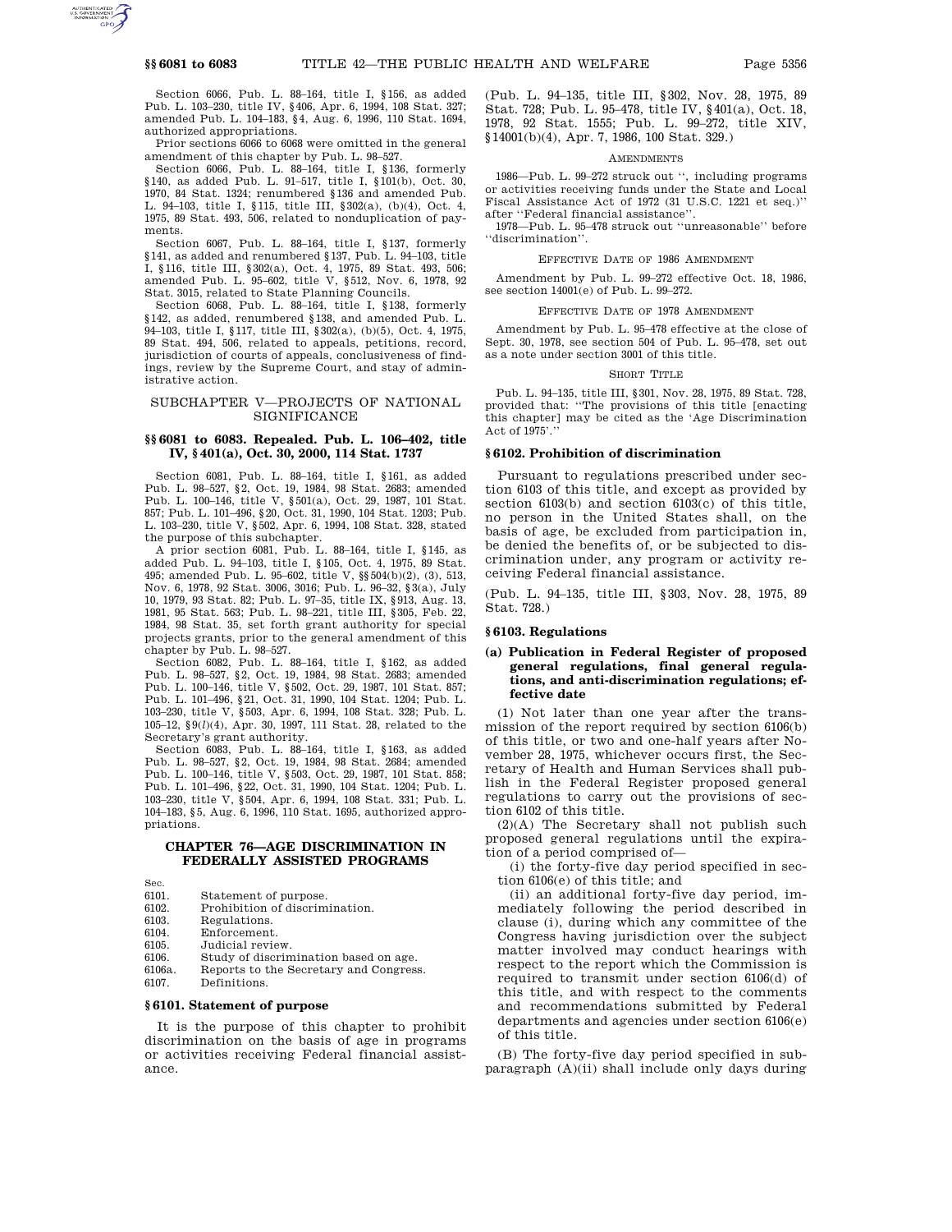Section 6066, Pub. L. 88–164, title I, §156, as added Pub. L. 103–230, title IV, §406, Apr. 6, 1994, 108 Stat. 327; amended Pub. L. 104–183, §4, Aug. 6, 1996, 110 Stat. 1694, authorized appropriations.

Prior sections 6066 to 6068 were omitted in the general amendment of this chapter by Pub. L. 98–527.

Section 6066, Pub. L. 88–164, title I, §136, formerly §140, as added Pub. L. 91–517, title I, §101(b), Oct. 30, 1970, 84 Stat. 1324; renumbered §136 and amended Pub. L. 94–103, title I, §115, title III, §302(a), (b)(4), Oct. 4, 1975, 89 Stat. 493, 506, related to nonduplication of payments.

Section 6067, Pub. L. 88–164, title I, §137, formerly §141, as added and renumbered §137, Pub. L. 94–103, title I, §116, title III, §302(a), Oct. 4, 1975, 89 Stat. 493, 506; amended Pub. L. 95–602, title V, §512, Nov. 6, 1978, 92 Stat. 3015, related to State Planning Councils.

Section 6068, Pub. L. 88–164, title I, §138, formerly §142, as added, renumbered §138, and amended Pub. L. 94–103, title I, §117, title III, §302(a), (b)(5), Oct. 4, 1975, 89 Stat. 494, 506, related to appeals, petitions, record, jurisdiction of courts of appeals, conclusiveness of findings, review by the Supreme Court, and stay of administrative action.

# SUBCHAPTER V—PROJECTS OF NATIONAL SIGNIFICANCE

# **§§ 6081 to 6083. Repealed. Pub. L. 106–402, title IV, § 401(a), Oct. 30, 2000, 114 Stat. 1737**

Section 6081, Pub. L. 88–164, title I, §161, as added Pub. L. 98–527, §2, Oct. 19, 1984, 98 Stat. 2683; amended Pub. L. 100–146, title V, §501(a), Oct. 29, 1987, 101 Stat. 857; Pub. L. 101–496, §20, Oct. 31, 1990, 104 Stat. 1203; Pub. L. 103–230, title V, §502, Apr. 6, 1994, 108 Stat. 328, stated the purpose of this subchapter.

A prior section 6081, Pub. L. 88–164, title I, §145, as added Pub. L. 94–103, title I, §105, Oct. 4, 1975, 89 Stat. 495; amended Pub. L. 95–602, title V, §§504(b)(2), (3), 513, Nov. 6, 1978, 92 Stat. 3006, 3016; Pub. L. 96–32, §3(a), July 10, 1979, 93 Stat. 82; Pub. L. 97–35, title IX, §913, Aug. 13, 1981, 95 Stat. 563; Pub. L. 98–221, title III, §305, Feb. 22, 1984, 98 Stat. 35, set forth grant authority for special projects grants, prior to the general amendment of this chapter by Pub. L. 98–527.

Section 6082, Pub. L. 88–164, title I, §162, as added Pub. L. 98–527, §2, Oct. 19, 1984, 98 Stat. 2683; amended Pub. L. 100–146, title V, §502, Oct. 29, 1987, 101 Stat. 857; Pub. L. 101–496, §21, Oct. 31, 1990, 104 Stat. 1204; Pub. L. 103–230, title V, §503, Apr. 6, 1994, 108 Stat. 328; Pub. L. 105–12, §9(*l*)(4), Apr. 30, 1997, 111 Stat. 28, related to the Secretary's grant authority.

Section 6083, Pub. L. 88–164, title I, §163, as added Pub. L. 98–527, §2, Oct. 19, 1984, 98 Stat. 2684; amended Pub. L. 100–146, title V, §503, Oct. 29, 1987, 101 Stat. 858; Pub. L. 101–496, §22, Oct. 31, 1990, 104 Stat. 1204; Pub. L. 103–230, title V, §504, Apr. 6, 1994, 108 Stat. 331; Pub. L. 104–183, §5, Aug. 6, 1996, 110 Stat. 1695, authorized appropriations.

# **CHAPTER 76—AGE DISCRIMINATION IN FEDERALLY ASSISTED PROGRAMS**

Sec.<br>6101

- Statement of purpose.
- 6102. Prohibition of discrimination.<br>6103. Regulations.
- Regulations.
- 6104. Enforcement.
- 6105. Judicial review.<br>6106. Study of discrip
- Study of discrimination based on age.
- 6106a. Reports to the Secretary and Congress. 6107. Definitions.
- 

## **§ 6101. Statement of purpose**

It is the purpose of this chapter to prohibit discrimination on the basis of age in programs or activities receiving Federal financial assistance.

(Pub. L. 94–135, title III, §302, Nov. 28, 1975, 89 Stat. 728; Pub. L. 95–478, title IV, §401(a), Oct. 18, 1978, 92 Stat. 1555; Pub. L. 99–272, title XIV, §14001(b)(4), Apr. 7, 1986, 100 Stat. 329.)

#### **AMENDMENTS**

1986—Pub. L. 99–272 struck out '', including programs or activities receiving funds under the State and Local Fiscal Assistance Act of 1972 (31 U.S.C. 1221 et seq.)'' after ''Federal financial assistance''.

1978—Pub. L. 95–478 struck out ''unreasonable'' before ''discrimination''.

## EFFECTIVE DATE OF 1986 AMENDMENT

Amendment by Pub. L. 99–272 effective Oct. 18, 1986, see section 14001(e) of Pub. L. 99–272.

#### EFFECTIVE DATE OF 1978 AMENDMENT

Amendment by Pub. L. 95–478 effective at the close of Sept. 30, 1978, see section 504 of Pub. L. 95–478, set out as a note under section 3001 of this title.

#### SHORT TITLE

Pub. L. 94–135, title III, §301, Nov. 28, 1975, 89 Stat. 728, provided that: ''The provisions of this title [enacting this chapter] may be cited as the 'Age Discrimination Act of 1975'.''

## **§ 6102. Prohibition of discrimination**

Pursuant to regulations prescribed under section 6103 of this title, and except as provided by section 6103(b) and section 6103(c) of this title, no person in the United States shall, on the basis of age, be excluded from participation in, be denied the benefits of, or be subjected to discrimination under, any program or activity receiving Federal financial assistance.

(Pub. L. 94–135, title III, §303, Nov. 28, 1975, 89 Stat. 728.)

## **§ 6103. Regulations**

# **(a) Publication in Federal Register of proposed general regulations, final general regulations, and anti-discrimination regulations; effective date**

(1) Not later than one year after the transmission of the report required by section 6106(b) of this title, or two and one-half years after November 28, 1975, whichever occurs first, the Secretary of Health and Human Services shall publish in the Federal Register proposed general regulations to carry out the provisions of section 6102 of this title.

(2)(A) The Secretary shall not publish such proposed general regulations until the expiration of a period comprised of—

(i) the forty-five day period specified in section 6106(e) of this title; and

(ii) an additional forty-five day period, immediately following the period described in clause (i), during which any committee of the Congress having jurisdiction over the subject matter involved may conduct hearings with respect to the report which the Commission is required to transmit under section 6106(d) of this title, and with respect to the comments and recommendations submitted by Federal departments and agencies under section 6106(e) of this title.

(B) The forty-five day period specified in subparagraph (A)(ii) shall include only days during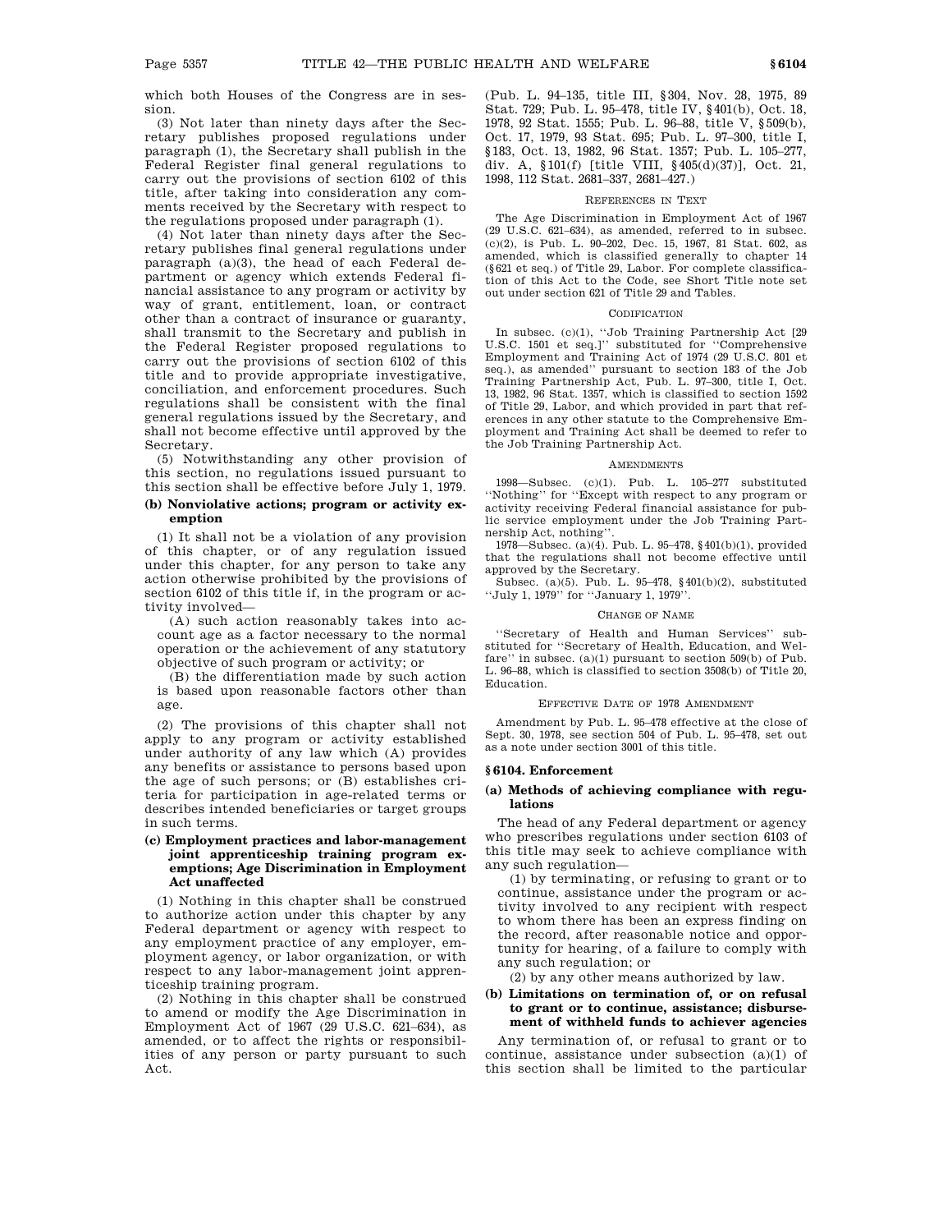which both Houses of the Congress are in session.

(3) Not later than ninety days after the Secretary publishes proposed regulations under paragraph (1), the Secretary shall publish in the Federal Register final general regulations to carry out the provisions of section 6102 of this title, after taking into consideration any comments received by the Secretary with respect to the regulations proposed under paragraph (1).

(4) Not later than ninety days after the Secretary publishes final general regulations under paragraph (a)(3), the head of each Federal department or agency which extends Federal financial assistance to any program or activity by way of grant, entitlement, loan, or contract other than a contract of insurance or guaranty, shall transmit to the Secretary and publish in the Federal Register proposed regulations to carry out the provisions of section 6102 of this title and to provide appropriate investigative, conciliation, and enforcement procedures. Such regulations shall be consistent with the final general regulations issued by the Secretary, and shall not become effective until approved by the Secretary.

(5) Notwithstanding any other provision of this section, no regulations issued pursuant to this section shall be effective before July 1, 1979.

# **(b) Nonviolative actions; program or activity exemption**

(1) It shall not be a violation of any provision of this chapter, or of any regulation issued under this chapter, for any person to take any action otherwise prohibited by the provisions of section 6102 of this title if, in the program or activity involved—

(A) such action reasonably takes into account age as a factor necessary to the normal operation or the achievement of any statutory objective of such program or activity; or

(B) the differentiation made by such action is based upon reasonable factors other than age.

(2) The provisions of this chapter shall not apply to any program or activity established under authority of any law which (A) provides any benefits or assistance to persons based upon the age of such persons; or (B) establishes criteria for participation in age-related terms or describes intended beneficiaries or target groups in such terms.

## **(c) Employment practices and labor-management joint apprenticeship training program exemptions; Age Discrimination in Employment Act unaffected**

(1) Nothing in this chapter shall be construed to authorize action under this chapter by any Federal department or agency with respect to any employment practice of any employer, employment agency, or labor organization, or with respect to any labor-management joint apprenticeship training program.

(2) Nothing in this chapter shall be construed to amend or modify the Age Discrimination in Employment Act of 1967 (29 U.S.C. 621–634), as amended, or to affect the rights or responsibilities of any person or party pursuant to such Act.

(Pub. L. 94–135, title III, §304, Nov. 28, 1975, 89 Stat. 729; Pub. L. 95–478, title IV, §401(b), Oct. 18, 1978, 92 Stat. 1555; Pub. L. 96–88, title V, §509(b), Oct. 17, 1979, 93 Stat. 695; Pub. L. 97–300, title I, §183, Oct. 13, 1982, 96 Stat. 1357; Pub. L. 105–277, div. A, §101(f) [title VIII, §405(d)(37)], Oct. 21, 1998, 112 Stat. 2681–337, 2681–427.)

## REFERENCES IN TEXT

The Age Discrimination in Employment Act of 1967 (29 U.S.C. 621–634), as amended, referred to in subsec. (c)(2), is Pub. L. 90–202, Dec. 15, 1967, 81 Stat. 602, as amended, which is classified generally to chapter 14 (§621 et seq.) of Title 29, Labor. For complete classification of this Act to the Code, see Short Title note set out under section 621 of Title 29 and Tables.

#### **CODIFICATION**

In subsec. (c)(1), ''Job Training Partnership Act [29 U.S.C. 1501 et seq.]'' substituted for ''Comprehensive Employment and Training Act of 1974 (29 U.S.C. 801 et seq.), as amended'' pursuant to section 183 of the Job Training Partnership Act, Pub. L. 97–300, title I, Oct. 13, 1982, 96 Stat. 1357, which is classified to section 1592 of Title 29, Labor, and which provided in part that references in any other statute to the Comprehensive Employment and Training Act shall be deemed to refer to the Job Training Partnership Act.

### **AMENDMENTS**

1998—Subsec. (c)(1). Pub. L. 105–277 substituted ''Nothing'' for ''Except with respect to any program or activity receiving Federal financial assistance for public service employment under the Job Training Partnership Act, nothing''.

1978—Subsec. (a)(4). Pub. L. 95–478, §401(b)(1), provided that the regulations shall not become effective until approved by the Secretary.

Subsec. (a)(5). Pub. L. 95–478, §401(b)(2), substituted ''July 1, 1979'' for ''January 1, 1979''.

## CHANGE OF NAME

''Secretary of Health and Human Services'' substituted for ''Secretary of Health, Education, and Welfare'' in subsec. (a)(1) pursuant to section 509(b) of Pub. L. 96–88, which is classified to section 3508(b) of Title 20, Education.

#### EFFECTIVE DATE OF 1978 AMENDMENT

Amendment by Pub. L. 95–478 effective at the close of Sept. 30, 1978, see section 504 of Pub. L. 95–478, set out as a note under section 3001 of this title.

## **§ 6104. Enforcement**

## **(a) Methods of achieving compliance with regulations**

The head of any Federal department or agency who prescribes regulations under section 6103 of this title may seek to achieve compliance with any such regulation—

(1) by terminating, or refusing to grant or to continue, assistance under the program or activity involved to any recipient with respect to whom there has been an express finding on the record, after reasonable notice and opportunity for hearing, of a failure to comply with any such regulation; or

(2) by any other means authorized by law.

## **(b) Limitations on termination of, or on refusal to grant or to continue, assistance; disbursement of withheld funds to achiever agencies**

Any termination of, or refusal to grant or to continue, assistance under subsection (a)(1) of this section shall be limited to the particular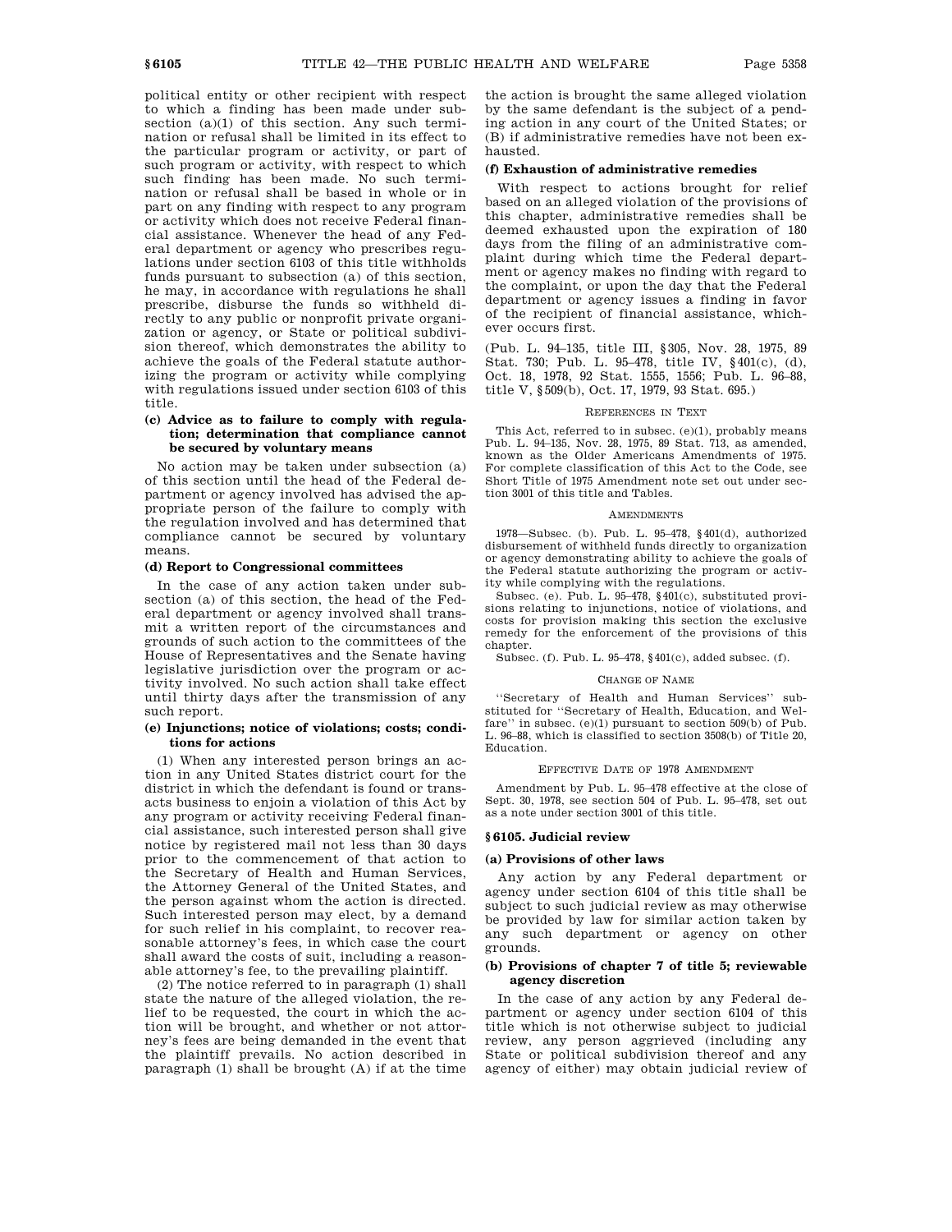political entity or other recipient with respect to which a finding has been made under subsection  $(a)(1)$  of this section. Any such termination or refusal shall be limited in its effect to the particular program or activity, or part of such program or activity, with respect to which such finding has been made. No such termination or refusal shall be based in whole or in part on any finding with respect to any program or activity which does not receive Federal financial assistance. Whenever the head of any Federal department or agency who prescribes regulations under section 6103 of this title withholds funds pursuant to subsection (a) of this section, he may, in accordance with regulations he shall prescribe, disburse the funds so withheld directly to any public or nonprofit private organization or agency, or State or political subdivision thereof, which demonstrates the ability to achieve the goals of the Federal statute authorizing the program or activity while complying with regulations issued under section 6103 of this title.

## **(c) Advice as to failure to comply with regulation; determination that compliance cannot be secured by voluntary means**

No action may be taken under subsection (a) of this section until the head of the Federal department or agency involved has advised the appropriate person of the failure to comply with the regulation involved and has determined that compliance cannot be secured by voluntary means.

## **(d) Report to Congressional committees**

In the case of any action taken under subsection (a) of this section, the head of the Federal department or agency involved shall transmit a written report of the circumstances and grounds of such action to the committees of the House of Representatives and the Senate having legislative jurisdiction over the program or activity involved. No such action shall take effect until thirty days after the transmission of any such report.

## **(e) Injunctions; notice of violations; costs; conditions for actions**

(1) When any interested person brings an action in any United States district court for the district in which the defendant is found or transacts business to enjoin a violation of this Act by any program or activity receiving Federal financial assistance, such interested person shall give notice by registered mail not less than 30 days prior to the commencement of that action to the Secretary of Health and Human Services, the Attorney General of the United States, and the person against whom the action is directed. Such interested person may elect, by a demand for such relief in his complaint, to recover reasonable attorney's fees, in which case the court shall award the costs of suit, including a reasonable attorney's fee, to the prevailing plaintiff.

(2) The notice referred to in paragraph (1) shall state the nature of the alleged violation, the relief to be requested, the court in which the action will be brought, and whether or not attorney's fees are being demanded in the event that the plaintiff prevails. No action described in paragraph (1) shall be brought (A) if at the time

the action is brought the same alleged violation by the same defendant is the subject of a pending action in any court of the United States; or (B) if administrative remedies have not been exhausted.

#### **(f) Exhaustion of administrative remedies**

With respect to actions brought for relief based on an alleged violation of the provisions of this chapter, administrative remedies shall be deemed exhausted upon the expiration of 180 days from the filing of an administrative complaint during which time the Federal department or agency makes no finding with regard to the complaint, or upon the day that the Federal department or agency issues a finding in favor of the recipient of financial assistance, whichever occurs first.

(Pub. L. 94–135, title III, §305, Nov. 28, 1975, 89 Stat. 730; Pub. L. 95–478, title IV, §401(c), (d), Oct. 18, 1978, 92 Stat. 1555, 1556; Pub. L. 96–88, title V, §509(b), Oct. 17, 1979, 93 Stat. 695.)

### REFERENCES IN TEXT

This Act, referred to in subsec. (e)(1), probably means Pub. L. 94–135, Nov. 28, 1975, 89 Stat. 713, as amended, known as the Older Americans Amendments of 1975. For complete classification of this Act to the Code, see Short Title of 1975 Amendment note set out under section 3001 of this title and Tables.

#### AMENDMENTS

1978—Subsec. (b). Pub. L. 95–478, §401(d), authorized disbursement of withheld funds directly to organization or agency demonstrating ability to achieve the goals of the Federal statute authorizing the program or activity while complying with the regulations.

Subsec. (e). Pub. L. 95–478, §401(c), substituted provisions relating to injunctions, notice of violations, and costs for provision making this section the exclusive remedy for the enforcement of the provisions of this chapter.

Subsec. (f). Pub. L. 95–478, §401(c), added subsec. (f).

#### CHANGE OF NAME

''Secretary of Health and Human Services'' substituted for ''Secretary of Health, Education, and Welfare'' in subsec. (e)(1) pursuant to section 509(b) of Pub. L. 96–88, which is classified to section 3508(b) of Title 20, Education.

## EFFECTIVE DATE OF 1978 AMENDMENT

Amendment by Pub. L. 95–478 effective at the close of Sept. 30, 1978, see section 504 of Pub. L. 95–478, set out as a note under section 3001 of this title.

## **§ 6105. Judicial review**

#### **(a) Provisions of other laws**

Any action by any Federal department or agency under section 6104 of this title shall be subject to such judicial review as may otherwise be provided by law for similar action taken by any such department or agency on other grounds.

## **(b) Provisions of chapter 7 of title 5; reviewable agency discretion**

In the case of any action by any Federal department or agency under section 6104 of this title which is not otherwise subject to judicial review, any person aggrieved (including any State or political subdivision thereof and any agency of either) may obtain judicial review of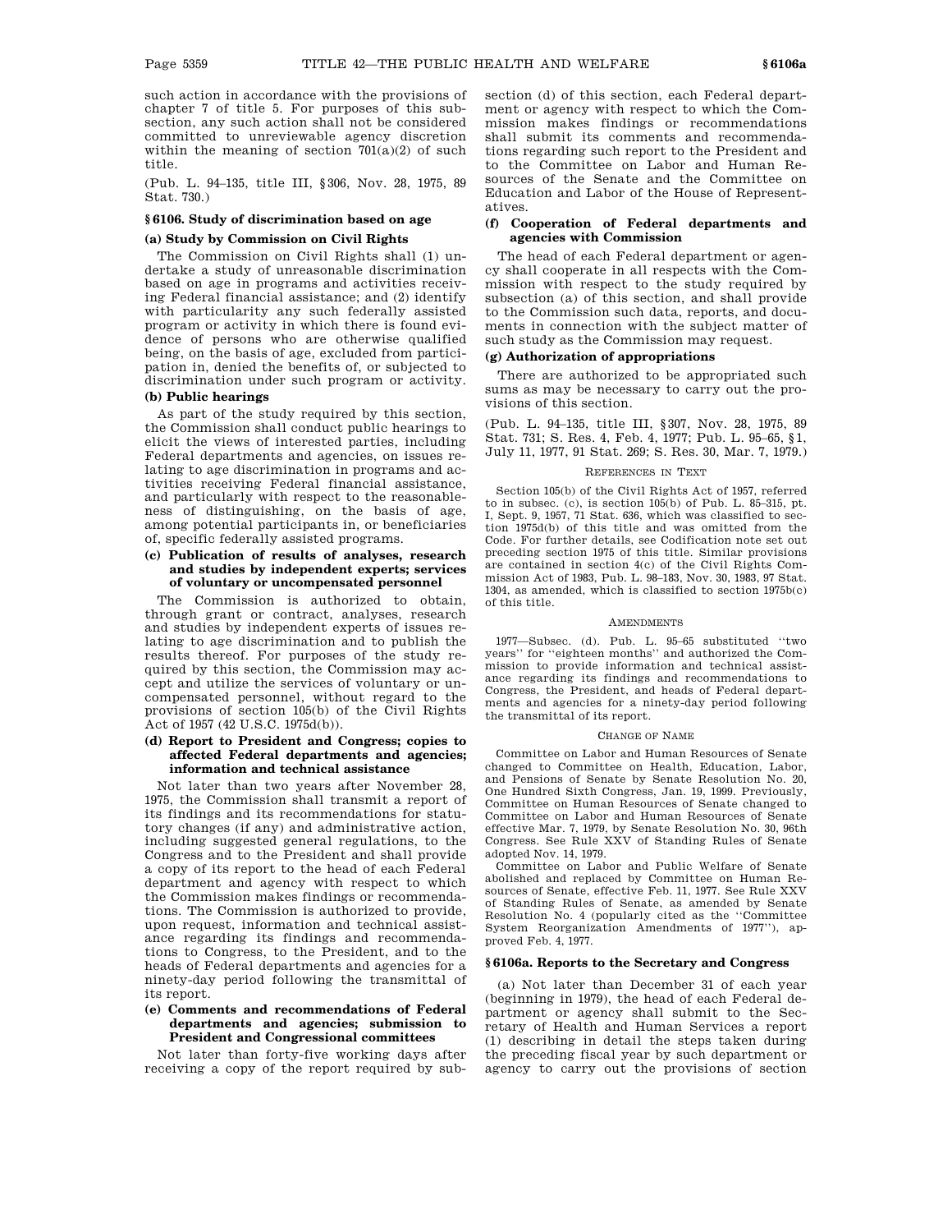such action in accordance with the provisions of chapter 7 of title 5. For purposes of this subsection, any such action shall not be considered committed to unreviewable agency discretion within the meaning of section  $701(a)(2)$  of such title.

(Pub. L. 94–135, title III, §306, Nov. 28, 1975, 89 Stat. 730.)

# **§ 6106. Study of discrimination based on age**

## **(a) Study by Commission on Civil Rights**

The Commission on Civil Rights shall (1) undertake a study of unreasonable discrimination based on age in programs and activities receiving Federal financial assistance; and (2) identify with particularity any such federally assisted program or activity in which there is found evidence of persons who are otherwise qualified being, on the basis of age, excluded from participation in, denied the benefits of, or subjected to discrimination under such program or activity.

## **(b) Public hearings**

As part of the study required by this section, the Commission shall conduct public hearings to elicit the views of interested parties, including Federal departments and agencies, on issues relating to age discrimination in programs and activities receiving Federal financial assistance, and particularly with respect to the reasonableness of distinguishing, on the basis of age, among potential participants in, or beneficiaries of, specific federally assisted programs.

# **(c) Publication of results of analyses, research and studies by independent experts; services of voluntary or uncompensated personnel**

The Commission is authorized to obtain, through grant or contract, analyses, research and studies by independent experts of issues relating to age discrimination and to publish the results thereof. For purposes of the study required by this section, the Commission may accept and utilize the services of voluntary or uncompensated personnel, without regard to the provisions of section 105(b) of the Civil Rights Act of 1957 (42 U.S.C. 1975d(b)).

## **(d) Report to President and Congress; copies to affected Federal departments and agencies; information and technical assistance**

Not later than two years after November 28, 1975, the Commission shall transmit a report of its findings and its recommendations for statutory changes (if any) and administrative action, including suggested general regulations, to the Congress and to the President and shall provide a copy of its report to the head of each Federal department and agency with respect to which the Commission makes findings or recommendations. The Commission is authorized to provide, upon request, information and technical assistance regarding its findings and recommendations to Congress, to the President, and to the heads of Federal departments and agencies for a ninety-day period following the transmittal of its report.

## **(e) Comments and recommendations of Federal departments and agencies; submission to President and Congressional committees**

Not later than forty-five working days after receiving a copy of the report required by subsection (d) of this section, each Federal department or agency with respect to which the Commission makes findings or recommendations shall submit its comments and recommendations regarding such report to the President and to the Committee on Labor and Human Resources of the Senate and the Committee on Education and Labor of the House of Representatives.

## **(f) Cooperation of Federal departments and agencies with Commission**

The head of each Federal department or agency shall cooperate in all respects with the Commission with respect to the study required by subsection (a) of this section, and shall provide to the Commission such data, reports, and documents in connection with the subject matter of such study as the Commission may request.

# **(g) Authorization of appropriations**

There are authorized to be appropriated such sums as may be necessary to carry out the provisions of this section.

(Pub. L. 94–135, title III, §307, Nov. 28, 1975, 89 Stat. 731; S. Res. 4, Feb. 4, 1977; Pub. L. 95–65, §1, July 11, 1977, 91 Stat. 269; S. Res. 30, Mar. 7, 1979.)

### REFERENCES IN TEXT

Section 105(b) of the Civil Rights Act of 1957, referred to in subsec. (c), is section 105(b) of Pub. L. 85–315, pt. I, Sept. 9, 1957, 71 Stat. 636, which was classified to section 1975d(b) of this title and was omitted from the Code. For further details, see Codification note set out preceding section 1975 of this title. Similar provisions are contained in section 4(c) of the Civil Rights Commission Act of 1983, Pub. L. 98–183, Nov. 30, 1983, 97 Stat. 1304, as amended, which is classified to section 1975b(c) of this title.

#### **AMENDMENTS**

1977—Subsec. (d). Pub. L. 95–65 substituted ''two years'' for ''eighteen months'' and authorized the Commission to provide information and technical assistance regarding its findings and recommendations to Congress, the President, and heads of Federal departments and agencies for a ninety-day period following the transmittal of its report.

#### CHANGE OF NAME

Committee on Labor and Human Resources of Senate changed to Committee on Health, Education, Labor, and Pensions of Senate by Senate Resolution No. 20, One Hundred Sixth Congress, Jan. 19, 1999. Previously, Committee on Human Resources of Senate changed to Committee on Labor and Human Resources of Senate effective Mar. 7, 1979, by Senate Resolution No. 30, 96th Congress. See Rule XXV of Standing Rules of Senate adopted Nov. 14, 1979.

Committee on Labor and Public Welfare of Senate abolished and replaced by Committee on Human Resources of Senate, effective Feb. 11, 1977. See Rule XXV of Standing Rules of Senate, as amended by Senate Resolution No. 4 (popularly cited as the ''Committee System Reorganization Amendments of 1977''), approved Feb. 4, 1977.

## **§ 6106a. Reports to the Secretary and Congress**

(a) Not later than December 31 of each year (beginning in 1979), the head of each Federal department or agency shall submit to the Secretary of Health and Human Services a report (1) describing in detail the steps taken during the preceding fiscal year by such department or agency to carry out the provisions of section